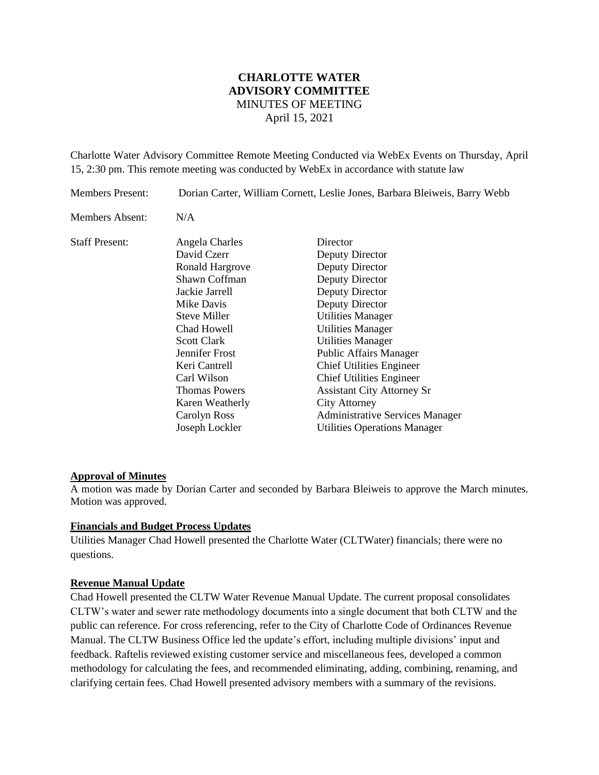# **CHARLOTTE WATER ADVISORY COMMITTEE** MINUTES OF MEETING April 15, 2021

Charlotte Water Advisory Committee Remote Meeting Conducted via WebEx Events on Thursday, April 15, 2:30 pm. This remote meeting was conducted by WebEx in accordance with statute law

| <b>Members Present:</b> | Dorian Carter, William Cornett, Leslie Jones, Barbara Bleiweis, Barry Webb                                                                                                                                                                                                                   |                                                                                                                                                                                                                                                                                                                                                                                                                                           |
|-------------------------|----------------------------------------------------------------------------------------------------------------------------------------------------------------------------------------------------------------------------------------------------------------------------------------------|-------------------------------------------------------------------------------------------------------------------------------------------------------------------------------------------------------------------------------------------------------------------------------------------------------------------------------------------------------------------------------------------------------------------------------------------|
| Members Absent:         | N/A                                                                                                                                                                                                                                                                                          |                                                                                                                                                                                                                                                                                                                                                                                                                                           |
| <b>Staff Present:</b>   | Angela Charles<br>David Czerr<br>Ronald Hargrove<br>Shawn Coffman<br>Jackie Jarrell<br>Mike Davis<br><b>Steve Miller</b><br>Chad Howell<br><b>Scott Clark</b><br>Jennifer Frost<br>Keri Cantrell<br>Carl Wilson<br><b>Thomas Powers</b><br>Karen Weatherly<br>Carolyn Ross<br>Joseph Lockler | Director<br>Deputy Director<br>Deputy Director<br>Deputy Director<br>Deputy Director<br>Deputy Director<br><b>Utilities Manager</b><br><b>Utilities Manager</b><br><b>Utilities Manager</b><br><b>Public Affairs Manager</b><br><b>Chief Utilities Engineer</b><br><b>Chief Utilities Engineer</b><br><b>Assistant City Attorney Sr</b><br>City Attorney<br><b>Administrative Services Manager</b><br><b>Utilities Operations Manager</b> |

## **Approval of Minutes**

A motion was made by Dorian Carter and seconded by Barbara Bleiweis to approve the March minutes. Motion was approved.

### **Financials and Budget Process Updates**

Utilities Manager Chad Howell presented the Charlotte Water (CLTWater) financials; there were no questions.

### **Revenue Manual Update**

Chad Howell presented the CLTW Water Revenue Manual Update. The current proposal consolidates CLTW's water and sewer rate methodology documents into a single document that both CLTW and the public can reference. For cross referencing, refer to the City of Charlotte Code of Ordinances Revenue Manual. The CLTW Business Office led the update's effort, including multiple divisions' input and feedback. Raftelis reviewed existing customer service and miscellaneous fees, developed a common methodology for calculating the fees, and recommended eliminating, adding, combining, renaming, and clarifying certain fees. Chad Howell presented advisory members with a summary of the revisions.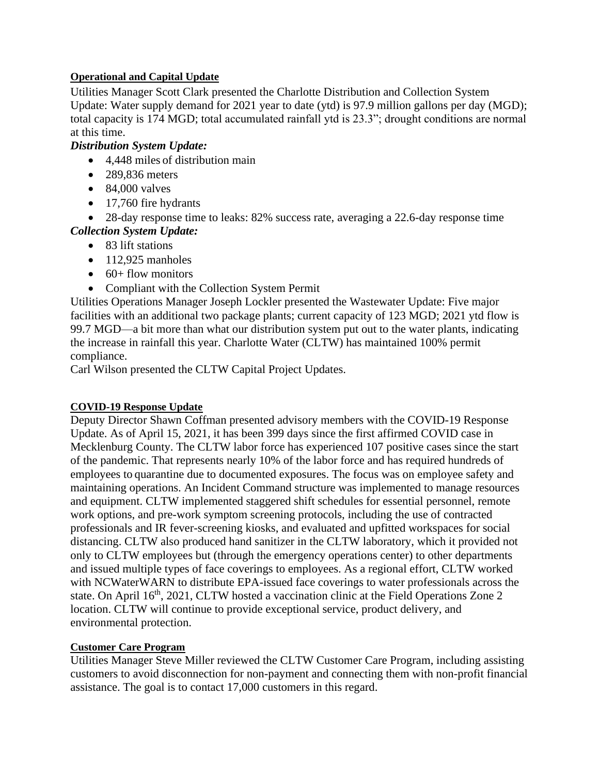## **Operational and Capital Update**

Utilities Manager Scott Clark presented the Charlotte Distribution and Collection System Update: Water supply demand for 2021 year to date (ytd) is 97.9 million gallons per day (MGD); total capacity is 174 MGD; total accumulated rainfall ytd is 23.3"; drought conditions are normal at this time.

# *Distribution System Update:*

- 4,448 miles of distribution main
- 289,836 meters
- $\bullet$  84,000 valves
- 17,760 fire hydrants
- 28-day response time to leaks: 82% success rate, averaging a 22.6-day response time *Collection System Update:*
	- 83 lift stations
	- $\bullet$  112,925 manholes
	- $\bullet$  60+ flow monitors
	- Compliant with the Collection System Permit

Utilities Operations Manager Joseph Lockler presented the Wastewater Update: Five major facilities with an additional two package plants; current capacity of 123 MGD; 2021 ytd flow is 99.7 MGD—a bit more than what our distribution system put out to the water plants, indicating the increase in rainfall this year. Charlotte Water (CLTW) has maintained 100% permit compliance.

Carl Wilson presented the CLTW Capital Project Updates.

# **COVID-19 Response Update**

Deputy Director Shawn Coffman presented advisory members with the COVID-19 Response Update. As of April 15, 2021, it has been 399 days since the first affirmed COVID case in Mecklenburg County. The CLTW labor force has experienced 107 positive cases since the start of the pandemic. That represents nearly 10% of the labor force and has required hundreds of employees to quarantine due to documented exposures. The focus was on employee safety and maintaining operations. An Incident Command structure was implemented to manage resources and equipment. CLTW implemented staggered shift schedules for essential personnel, remote work options, and pre-work symptom screening protocols, including the use of contracted professionals and IR fever-screening kiosks, and evaluated and upfitted workspaces for social distancing. CLTW also produced hand sanitizer in the CLTW laboratory, which it provided not only to CLTW employees but (through the emergency operations center) to other departments and issued multiple types of face coverings to employees. As a regional effort, CLTW worked with NCWaterWARN to distribute EPA-issued face coverings to water professionals across the state. On April 16<sup>th</sup>, 2021, CLTW hosted a vaccination clinic at the Field Operations Zone 2 location. CLTW will continue to provide exceptional service, product delivery, and environmental protection.

# **Customer Care Program**

Utilities Manager Steve Miller reviewed the CLTW Customer Care Program, including assisting customers to avoid disconnection for non-payment and connecting them with non-profit financial assistance. The goal is to contact 17,000 customers in this regard.